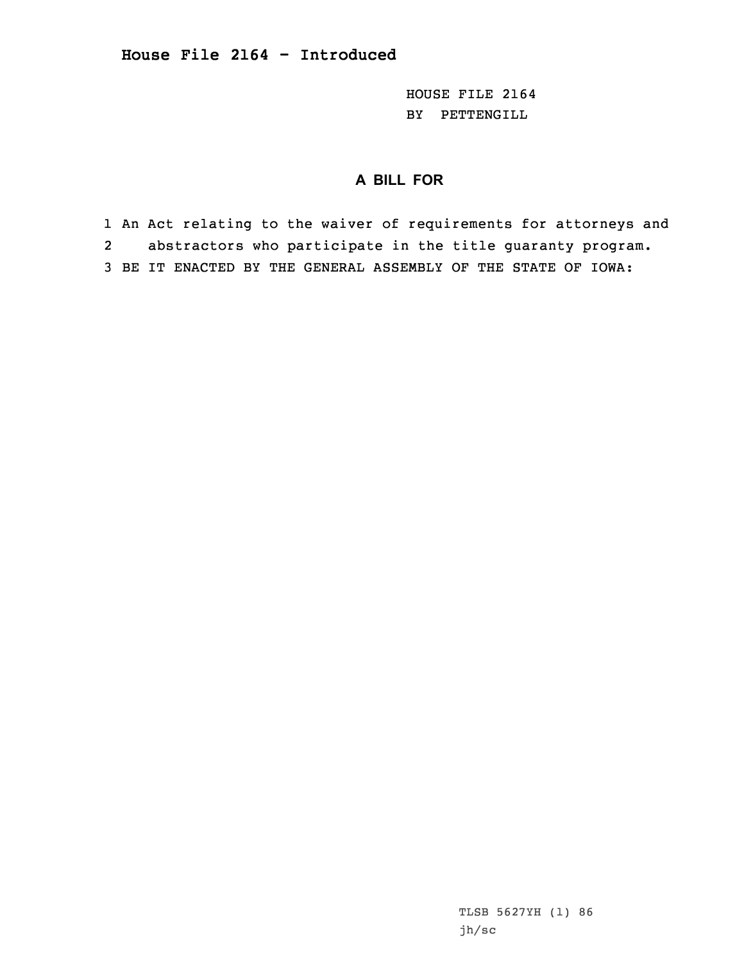HOUSE FILE 2164 BY PETTENGILL

## **A BILL FOR**

1 An Act relating to the waiver of requirements for attorneys and 2 abstractors who participate in the title guaranty program. 3 BE IT ENACTED BY THE GENERAL ASSEMBLY OF THE STATE OF IOWA:

> TLSB 5627YH (1) 86 jh/sc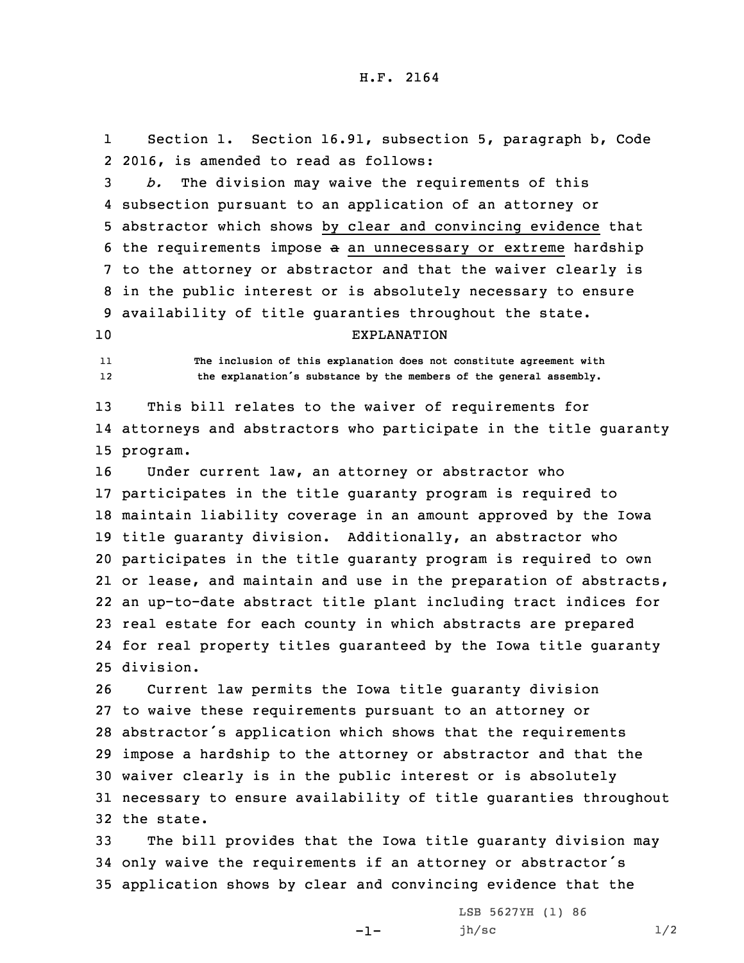1Section 1. Section 16.91, subsection 5, paragraph b, Code 2 2016, is amended to read as follows:

 *b.* The division may waive the requirements of this subsection pursuant to an application of an attorney or abstractor which shows by clear and convincing evidence that the requirements impose <sup>a</sup> an unnecessary or extreme hardship to the attorney or abstractor and that the waiver clearly is in the public interest or is absolutely necessary to ensure availability of title guaranties throughout the state.

## 10 EXPLANATION

11 **The inclusion of this explanation does not constitute agreement with** 12**the explanation's substance by the members of the general assembly.**

13 This bill relates to the waiver of requirements for 14 attorneys and abstractors who participate in the title guaranty 15 program.

 Under current law, an attorney or abstractor who participates in the title guaranty program is required to maintain liability coverage in an amount approved by the Iowa title guaranty division. Additionally, an abstractor who participates in the title guaranty program is required to own or lease, and maintain and use in the preparation of abstracts, an up-to-date abstract title plant including tract indices for real estate for each county in which abstracts are prepared for real property titles guaranteed by the Iowa title guaranty division.

 Current law permits the Iowa title guaranty division to waive these requirements pursuant to an attorney or abstractor's application which shows that the requirements impose <sup>a</sup> hardship to the attorney or abstractor and that the waiver clearly is in the public interest or is absolutely necessary to ensure availability of title guaranties throughout the state.

33 The bill provides that the Iowa title guaranty division may <sup>34</sup> only waive the requirements if an attorney or abstractor's 35 application shows by clear and convincing evidence that the

-1-

LSB 5627YH (1) 86 jh/sc  $1/2$